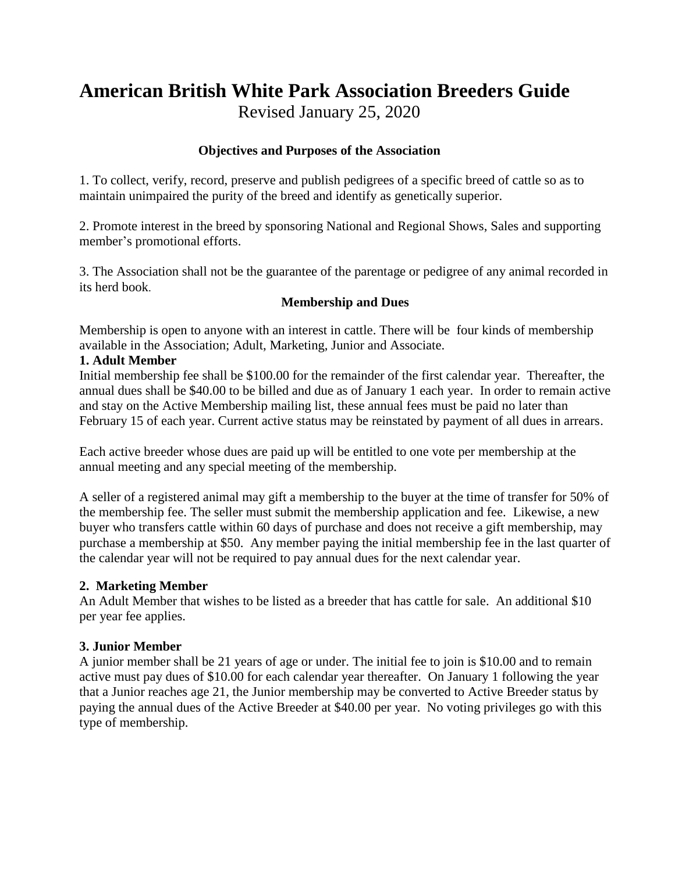# **American British White Park Association Breeders Guide** Revised January 25, 2020

# **Objectives and Purposes of the Association**

1. To collect, verify, record, preserve and publish pedigrees of a specific breed of cattle so as to maintain unimpaired the purity of the breed and identify as genetically superior.

2. Promote interest in the breed by sponsoring National and Regional Shows, Sales and supporting member's promotional efforts.

3. The Association shall not be the guarantee of the parentage or pedigree of any animal recorded in its herd book.

# **Membership and Dues**

Membership is open to anyone with an interest in cattle. There will be four kinds of membership available in the Association; Adult, Marketing, Junior and Associate.

# **1. Adult Member**

Initial membership fee shall be \$100.00 for the remainder of the first calendar year. Thereafter, the annual dues shall be \$40.00 to be billed and due as of January 1 each year. In order to remain active and stay on the Active Membership mailing list, these annual fees must be paid no later than February 15 of each year. Current active status may be reinstated by payment of all dues in arrears.

Each active breeder whose dues are paid up will be entitled to one vote per membership at the annual meeting and any special meeting of the membership.

A seller of a registered animal may gift a membership to the buyer at the time of transfer for 50% of the membership fee. The seller must submit the membership application and fee. Likewise, a new buyer who transfers cattle within 60 days of purchase and does not receive a gift membership, may purchase a membership at \$50. Any member paying the initial membership fee in the last quarter of the calendar year will not be required to pay annual dues for the next calendar year.

# **2. Marketing Member**

An Adult Member that wishes to be listed as a breeder that has cattle for sale. An additional \$10 per year fee applies.

# **3. Junior Member**

A junior member shall be 21 years of age or under. The initial fee to join is \$10.00 and to remain active must pay dues of \$10.00 for each calendar year thereafter. On January 1 following the year that a Junior reaches age 21, the Junior membership may be converted to Active Breeder status by paying the annual dues of the Active Breeder at \$40.00 per year. No voting privileges go with this type of membership.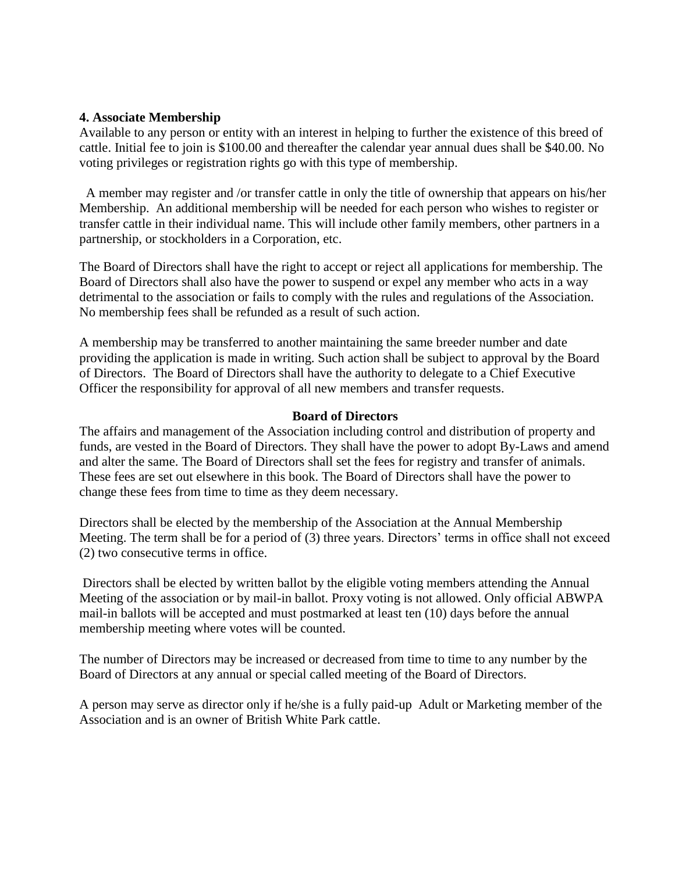#### **4. Associate Membership**

Available to any person or entity with an interest in helping to further the existence of this breed of cattle. Initial fee to join is \$100.00 and thereafter the calendar year annual dues shall be \$40.00. No voting privileges or registration rights go with this type of membership.

 A member may register and /or transfer cattle in only the title of ownership that appears on his/her Membership. An additional membership will be needed for each person who wishes to register or transfer cattle in their individual name. This will include other family members, other partners in a partnership, or stockholders in a Corporation, etc.

The Board of Directors shall have the right to accept or reject all applications for membership. The Board of Directors shall also have the power to suspend or expel any member who acts in a way detrimental to the association or fails to comply with the rules and regulations of the Association. No membership fees shall be refunded as a result of such action.

A membership may be transferred to another maintaining the same breeder number and date providing the application is made in writing. Such action shall be subject to approval by the Board of Directors. The Board of Directors shall have the authority to delegate to a Chief Executive Officer the responsibility for approval of all new members and transfer requests.

#### **Board of Directors**

The affairs and management of the Association including control and distribution of property and funds, are vested in the Board of Directors. They shall have the power to adopt By-Laws and amend and alter the same. The Board of Directors shall set the fees for registry and transfer of animals. These fees are set out elsewhere in this book. The Board of Directors shall have the power to change these fees from time to time as they deem necessary.

Directors shall be elected by the membership of the Association at the Annual Membership Meeting. The term shall be for a period of (3) three years. Directors' terms in office shall not exceed (2) two consecutive terms in office.

Directors shall be elected by written ballot by the eligible voting members attending the Annual Meeting of the association or by mail-in ballot. Proxy voting is not allowed. Only official ABWPA mail-in ballots will be accepted and must postmarked at least ten (10) days before the annual membership meeting where votes will be counted.

The number of Directors may be increased or decreased from time to time to any number by the Board of Directors at any annual or special called meeting of the Board of Directors.

A person may serve as director only if he/she is a fully paid-up Adult or Marketing member of the Association and is an owner of British White Park cattle.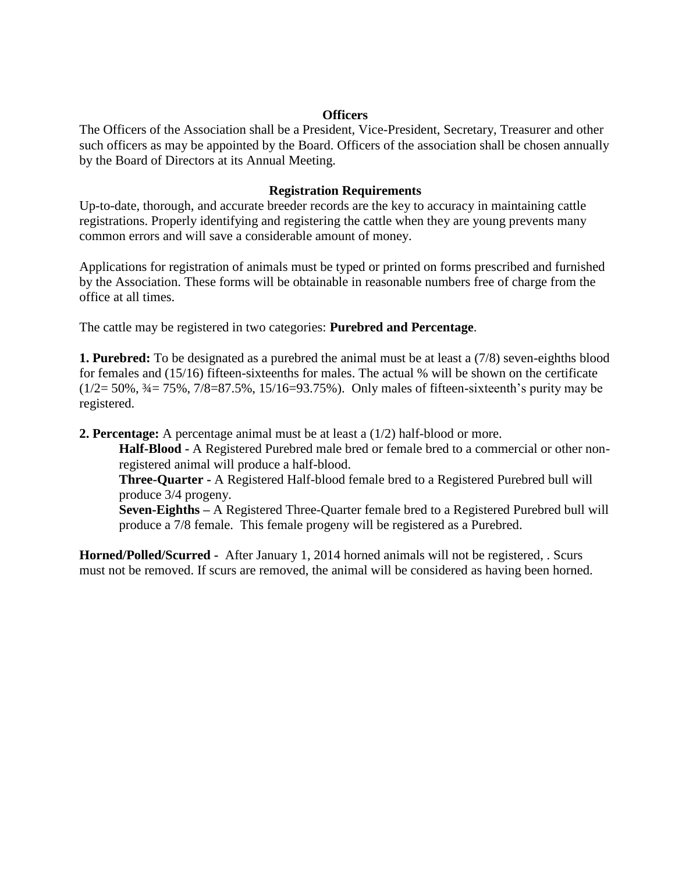#### **Officers**

The Officers of the Association shall be a President, Vice-President, Secretary, Treasurer and other such officers as may be appointed by the Board. Officers of the association shall be chosen annually by the Board of Directors at its Annual Meeting.

# **Registration Requirements**

Up-to-date, thorough, and accurate breeder records are the key to accuracy in maintaining cattle registrations. Properly identifying and registering the cattle when they are young prevents many common errors and will save a considerable amount of money.

Applications for registration of animals must be typed or printed on forms prescribed and furnished by the Association. These forms will be obtainable in reasonable numbers free of charge from the office at all times.

The cattle may be registered in two categories: **Purebred and Percentage**.

**1. Purebred:** To be designated as a purebred the animal must be at least a (7/8) seven-eighths blood for females and (15/16) fifteen-sixteenths for males. The actual % will be shown on the certificate  $(1/2=50\%, \frac{3}{4}=75\%, \frac{7}{8}=87.5\%, \frac{15}{16}=93.75\%)$ . Only males of fifteen-sixteenth's purity may be registered.

**2. Percentage:** A percentage animal must be at least a (1/2) half-blood or more.

**Half-Blood -** A Registered Purebred male bred or female bred to a commercial or other nonregistered animal will produce a half-blood.

**Three-Quarter -** A Registered Half-blood female bred to a Registered Purebred bull will produce 3/4 progeny.

**Seven-Eighths –** A Registered Three-Quarter female bred to a Registered Purebred bull will produce a 7/8 female. This female progeny will be registered as a Purebred.

**Horned/Polled/Scurred -** After January 1, 2014 horned animals will not be registered, . Scurs must not be removed. If scurs are removed, the animal will be considered as having been horned.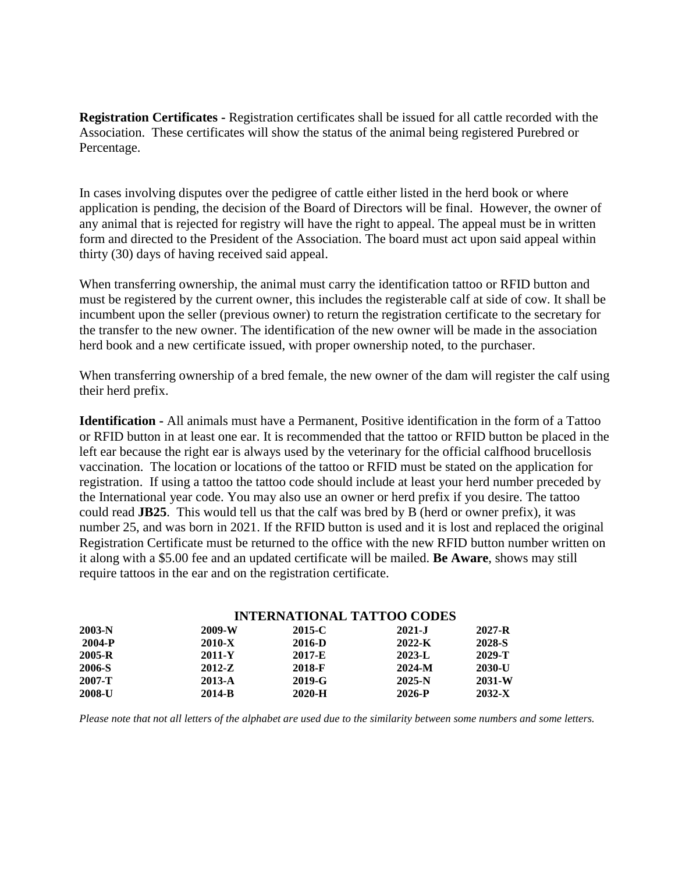**Registration Certificates -** Registration certificates shall be issued for all cattle recorded with the Association. These certificates will show the status of the animal being registered Purebred or Percentage.

In cases involving disputes over the pedigree of cattle either listed in the herd book or where application is pending, the decision of the Board of Directors will be final. However, the owner of any animal that is rejected for registry will have the right to appeal. The appeal must be in written form and directed to the President of the Association. The board must act upon said appeal within thirty (30) days of having received said appeal.

When transferring ownership, the animal must carry the identification tattoo or RFID button and must be registered by the current owner, this includes the registerable calf at side of cow. It shall be incumbent upon the seller (previous owner) to return the registration certificate to the secretary for the transfer to the new owner. The identification of the new owner will be made in the association herd book and a new certificate issued, with proper ownership noted, to the purchaser.

When transferring ownership of a bred female, the new owner of the dam will register the calf using their herd prefix.

**Identification -** All animals must have a Permanent, Positive identification in the form of a Tattoo or RFID button in at least one ear. It is recommended that the tattoo or RFID button be placed in the left ear because the right ear is always used by the veterinary for the official calfhood brucellosis vaccination. The location or locations of the tattoo or RFID must be stated on the application for registration. If using a tattoo the tattoo code should include at least your herd number preceded by the International year code. You may also use an owner or herd prefix if you desire. The tattoo could read **JB25**. This would tell us that the calf was bred by B (herd or owner prefix), it was number 25, and was born in 2021. If the RFID button is used and it is lost and replaced the original Registration Certificate must be returned to the office with the new RFID button number written on it along with a \$5.00 fee and an updated certificate will be mailed. **Be Aware**, shows may still require tattoos in the ear and on the registration certificate.

| $2003-N$      | <b>INTERNATIONAL TATTOO CODES</b> |            |            |            |
|---------------|-----------------------------------|------------|------------|------------|
|               | 2009-W                            | 2015-C     | $2021 - J$ | $2027 - R$ |
| 2004-P        | 2010-X                            | 2016-D     | $2022 - K$ | 2028-S     |
| $2005 - R$    | 2011-Y                            | 2017-E     | $2023 - L$ | 2029-T     |
| <b>2006-S</b> | $2012-Z$                          | 2018-F     | $2024-M$   | $2030 - U$ |
| 2007-T        | 2013-A                            | $2019 - G$ | $2025-N$   | 2031-W     |
| 2008-U        | $2014-B$                          | $2020-H$   | 2026-P     | $2032 - X$ |

*Please note that not all letters of the alphabet are used due to the similarity between some numbers and some letters.*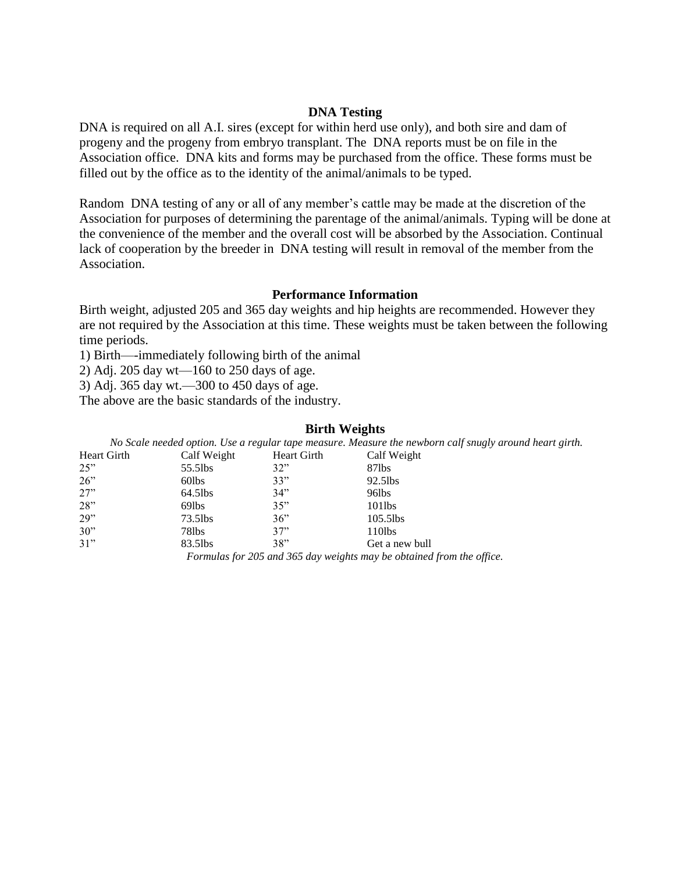#### **DNA Testing**

DNA is required on all A.I. sires (except for within herd use only), and both sire and dam of progeny and the progeny from embryo transplant. The DNA reports must be on file in the Association office. DNA kits and forms may be purchased from the office. These forms must be filled out by the office as to the identity of the animal/animals to be typed.

Random DNA testing of any or all of any member's cattle may be made at the discretion of the Association for purposes of determining the parentage of the animal/animals. Typing will be done at the convenience of the member and the overall cost will be absorbed by the Association. Continual lack of cooperation by the breeder in DNA testing will result in removal of the member from the Association.

#### **Performance Information**

Birth weight, adjusted 205 and 365 day weights and hip heights are recommended. However they are not required by the Association at this time. These weights must be taken between the following time periods.

1) Birth—-immediately following birth of the animal

2) Adj. 205 day wt—160 to 250 days of age.

3) Adj. 365 day wt.—300 to 450 days of age.

The above are the basic standards of the industry.

#### **Birth Weights**

*No Scale needed option. Use a regular tape measure. Measure the newborn calf snugly around heart girth.* Heart Girth Calf Weight Heart Girth Calf Weight 25" 55.5lbs 32" 87lbs 26" 60lbs 33" 92.5lbs 27" 64.5lbs 34" 96lbs 28" 69lbs 35" 101lbs 29" 73.5lbs 36" 105.5lbs 30" 78lbs 37" 110lbs 31" 83.5lbs 38" Get a new bull

*Formulas for 205 and 365 day weights may be obtained from the office.*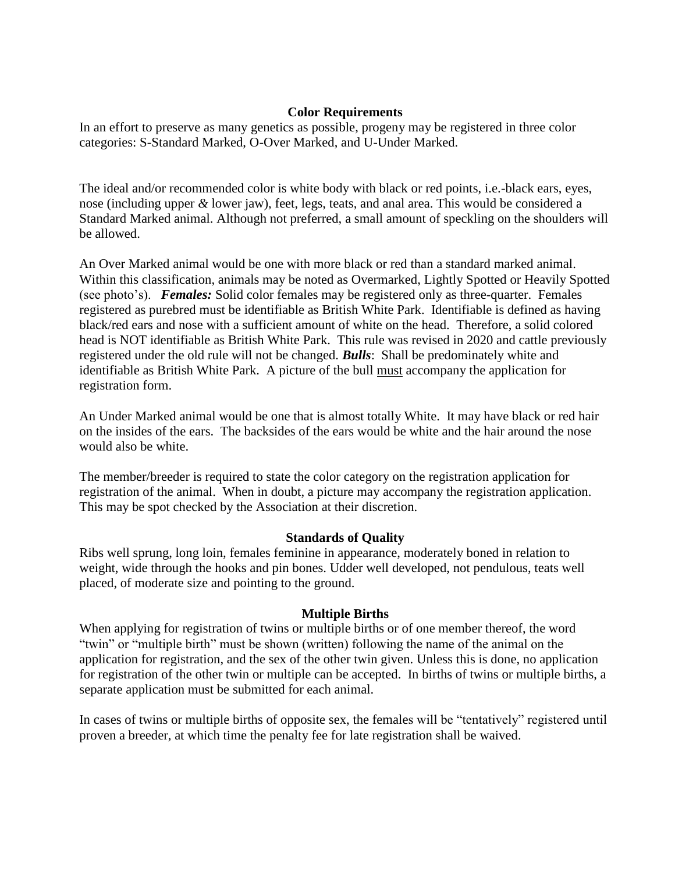# **Color Requirements**

In an effort to preserve as many genetics as possible, progeny may be registered in three color categories: S-Standard Marked, O-Over Marked, and U-Under Marked.

The ideal and/or recommended color is white body with black or red points, i.e.-black ears, eyes, nose (including upper *&* lower jaw), feet, legs, teats, and anal area. This would be considered a Standard Marked animal. Although not preferred, a small amount of speckling on the shoulders will be allowed.

An Over Marked animal would be one with more black or red than a standard marked animal. Within this classification, animals may be noted as Overmarked, Lightly Spotted or Heavily Spotted (see photo's). *Females:* Solid color females may be registered only as three-quarter. Females registered as purebred must be identifiable as British White Park. Identifiable is defined as having black/red ears and nose with a sufficient amount of white on the head. Therefore, a solid colored head is NOT identifiable as British White Park. This rule was revised in 2020 and cattle previously registered under the old rule will not be changed. *Bulls*: Shall be predominately white and identifiable as British White Park. A picture of the bull must accompany the application for registration form.

An Under Marked animal would be one that is almost totally White. It may have black or red hair on the insides of the ears. The backsides of the ears would be white and the hair around the nose would also be white.

The member/breeder is required to state the color category on the registration application for registration of the animal. When in doubt, a picture may accompany the registration application. This may be spot checked by the Association at their discretion.

# **Standards of Quality**

Ribs well sprung, long loin, females feminine in appearance, moderately boned in relation to weight, wide through the hooks and pin bones. Udder well developed, not pendulous, teats well placed, of moderate size and pointing to the ground.

# **Multiple Births**

When applying for registration of twins or multiple births or of one member thereof, the word "twin" or "multiple birth" must be shown (written) following the name of the animal on the application for registration, and the sex of the other twin given. Unless this is done, no application for registration of the other twin or multiple can be accepted. In births of twins or multiple births, a separate application must be submitted for each animal.

In cases of twins or multiple births of opposite sex, the females will be "tentatively" registered until proven a breeder, at which time the penalty fee for late registration shall be waived.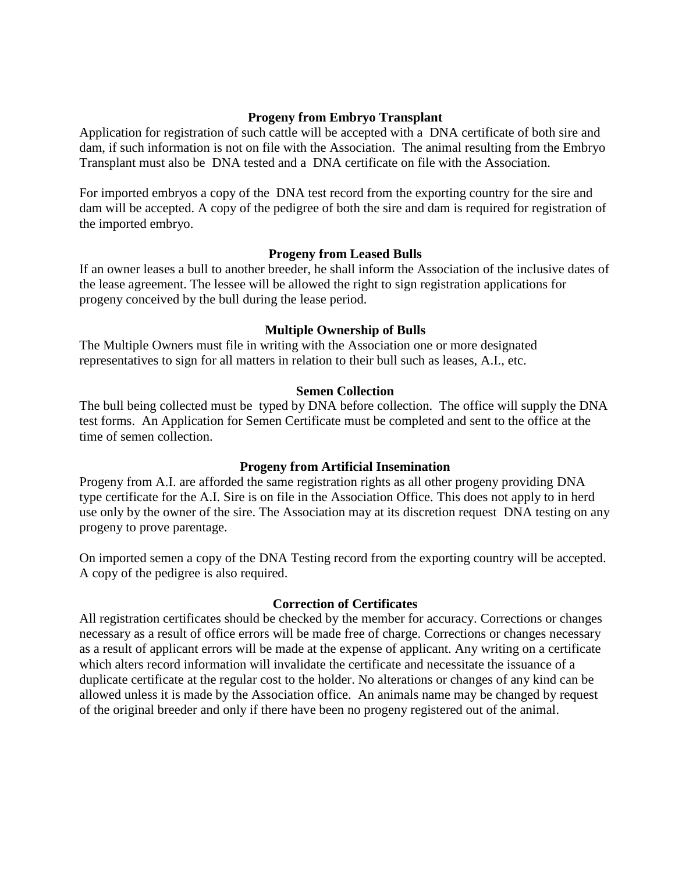## **Progeny from Embryo Transplant**

Application for registration of such cattle will be accepted with a DNA certificate of both sire and dam, if such information is not on file with the Association. The animal resulting from the Embryo Transplant must also be DNA tested and a DNA certificate on file with the Association.

For imported embryos a copy of the DNA test record from the exporting country for the sire and dam will be accepted. A copy of the pedigree of both the sire and dam is required for registration of the imported embryo.

## **Progeny from Leased Bulls**

If an owner leases a bull to another breeder, he shall inform the Association of the inclusive dates of the lease agreement. The lessee will be allowed the right to sign registration applications for progeny conceived by the bull during the lease period.

## **Multiple Ownership of Bulls**

The Multiple Owners must file in writing with the Association one or more designated representatives to sign for all matters in relation to their bull such as leases, A.I., etc.

## **Semen Collection**

The bull being collected must be typed by DNA before collection. The office will supply the DNA test forms. An Application for Semen Certificate must be completed and sent to the office at the time of semen collection.

# **Progeny from Artificial Insemination**

Progeny from A.I. are afforded the same registration rights as all other progeny providing DNA type certificate for the A.I. Sire is on file in the Association Office. This does not apply to in herd use only by the owner of the sire. The Association may at its discretion request DNA testing on any progeny to prove parentage.

On imported semen a copy of the DNA Testing record from the exporting country will be accepted. A copy of the pedigree is also required.

# **Correction of Certificates**

All registration certificates should be checked by the member for accuracy. Corrections or changes necessary as a result of office errors will be made free of charge. Corrections or changes necessary as a result of applicant errors will be made at the expense of applicant. Any writing on a certificate which alters record information will invalidate the certificate and necessitate the issuance of a duplicate certificate at the regular cost to the holder. No alterations or changes of any kind can be allowed unless it is made by the Association office. An animals name may be changed by request of the original breeder and only if there have been no progeny registered out of the animal.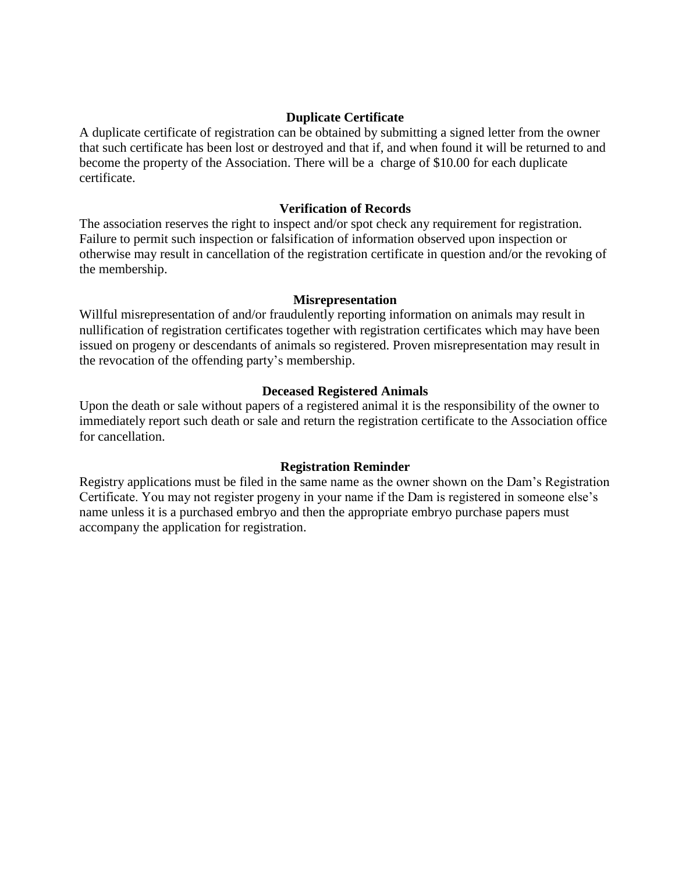# **Duplicate Certificate**

A duplicate certificate of registration can be obtained by submitting a signed letter from the owner that such certificate has been lost or destroyed and that if, and when found it will be returned to and become the property of the Association. There will be a charge of \$10.00 for each duplicate certificate.

## **Verification of Records**

The association reserves the right to inspect and/or spot check any requirement for registration. Failure to permit such inspection or falsification of information observed upon inspection or otherwise may result in cancellation of the registration certificate in question and/or the revoking of the membership.

## **Misrepresentation**

Willful misrepresentation of and/or fraudulently reporting information on animals may result in nullification of registration certificates together with registration certificates which may have been issued on progeny or descendants of animals so registered. Proven misrepresentation may result in the revocation of the offending party's membership.

# **Deceased Registered Animals**

Upon the death or sale without papers of a registered animal it is the responsibility of the owner to immediately report such death or sale and return the registration certificate to the Association office for cancellation.

# **Registration Reminder**

Registry applications must be filed in the same name as the owner shown on the Dam's Registration Certificate. You may not register progeny in your name if the Dam is registered in someone else's name unless it is a purchased embryo and then the appropriate embryo purchase papers must accompany the application for registration.